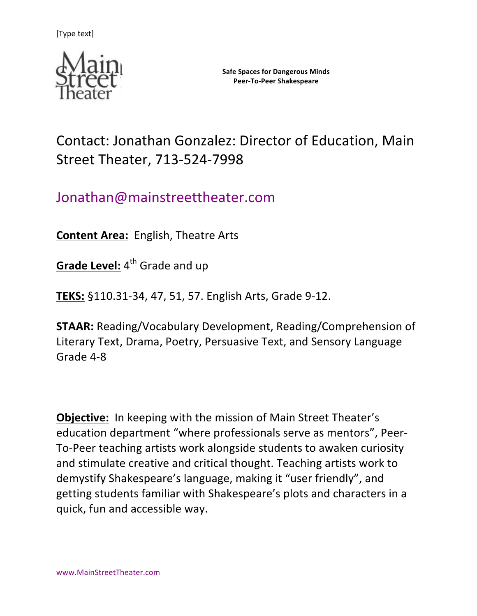

Contact: Jonathan Gonzalez: Director of Education, Main Street Theater, 713-524-7998

# Jonathan@mainstreettheater.com

**Content Area:** English, Theatre Arts

**Grade Level:** 4<sup>th</sup> Grade and up

**TEKS:** §110.31-34, 47, 51, 57. English Arts, Grade 9-12.

**STAAR:** Reading/Vocabulary Development, Reading/Comprehension of Literary Text, Drama, Poetry, Persuasive Text, and Sensory Language Grade 4-8

**Objective:** In keeping with the mission of Main Street Theater's education department "where professionals serve as mentors", Peer-To-Peer teaching artists work alongside students to awaken curiosity and stimulate creative and critical thought. Teaching artists work to demystify Shakespeare's language, making it "user friendly", and getting students familiar with Shakespeare's plots and characters in a quick, fun and accessible way.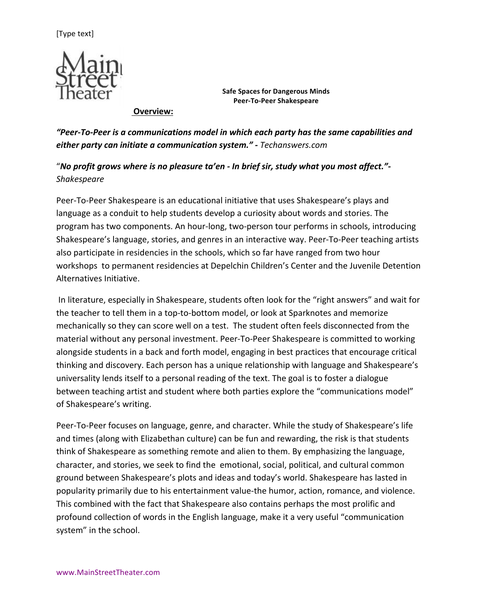

**Overview:**

"Peer-To-Peer is a communications model in which each party has the same capabilities and *either party can initiate a communication system." - Techanswers.com*

"No profit grows where is no pleasure ta'en - In brief sir, study what you most affect."-*Shakespeare*

Peer-To-Peer Shakespeare is an educational initiative that uses Shakespeare's plays and language as a conduit to help students develop a curiosity about words and stories. The program has two components. An hour-long, two-person tour performs in schools, introducing Shakespeare's language, stories, and genres in an interactive way. Peer-To-Peer teaching artists also participate in residencies in the schools, which so far have ranged from two hour workshops to permanent residencies at Depelchin Children's Center and the Juvenile Detention Alternatives Initiative.

In literature, especially in Shakespeare, students often look for the "right answers" and wait for the teacher to tell them in a top-to-bottom model, or look at Sparknotes and memorize mechanically so they can score well on a test. The student often feels disconnected from the material without any personal investment. Peer-To-Peer Shakespeare is committed to working alongside students in a back and forth model, engaging in best practices that encourage critical thinking and discovery. Each person has a unique relationship with language and Shakespeare's universality lends itself to a personal reading of the text. The goal is to foster a dialogue between teaching artist and student where both parties explore the "communications model" of Shakespeare's writing.

Peer-To-Peer focuses on language, genre, and character. While the study of Shakespeare's life and times (along with Elizabethan culture) can be fun and rewarding, the risk is that students think of Shakespeare as something remote and alien to them. By emphasizing the language, character, and stories, we seek to find the emotional, social, political, and cultural common ground between Shakespeare's plots and ideas and today's world. Shakespeare has lasted in popularity primarily due to his entertainment value-the humor, action, romance, and violence. This combined with the fact that Shakespeare also contains perhaps the most prolific and profound collection of words in the English language, make it a very useful "communication system" in the school.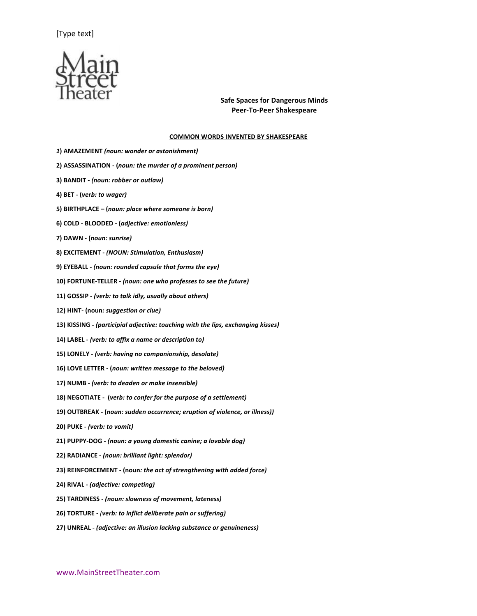

#### **COMMON WORDS INVENTED BY SHAKESPEARE**

- *1***) AMAZEMENT** *(noun: wonder or astonishment)*
- **2) ASSASSINATION - (***noun: the murder of a prominent person)*
- **3) BANDIT -** *(noun: robber or outlaw)*
- **4) BET - (***verb: to wager)*
- **5) BIRTHPLACE – (***noun: place where someone is born)*
- **6) COLD - BLOODED - (***adjective: emotionless)*
- **7) DAWN - (***noun: sunrise)*
- **8) EXCITEMENT -** *(NOUN: Stimulation, Enthusiasm)*
- **9)** EYEBALL (noun: rounded capsule that forms the eye)
- 10) FORTUNE-TELLER (noun: one who professes to see the future)
- 11) GOSSIP (verb: to talk idly, usually about others)
- **12) HINT***-* **(noun***: suggestion or clue)*
- 13) KISSING (participial adjective: touching with the lips, exchanging kisses)
- **14) LABEL -** *(verb: to affix a name or description to)*
- 15) LONELY (verb: having no companionship, desolate)
- **16) LOVE LETTER - (***noun: written message to the beloved)*
- **17) NUMB -** *(verb: to deaden or make insensible)*
- 18) NEGOTIATE (verb: to confer for the purpose of a settlement)
- **19) OUTBREAK - (***noun: sudden occurrence; eruption of violence, or illness))*
- **20) PUKE -** *(verb: to vomit)*
- 21) PUPPY-DOG (noun: a young domestic canine; a lovable dog)
- **22) RADIANCE -** *(noun: brilliant light: splendor)*
- **23) REINFORCEMENT - (noun***: the act of strengthening with added force)*
- **24) RIVAL -** *(adjective: competing)*
- **25) TARDINESS -** *(noun: slowness of movement, lateness)*
- **26) TORTURE -** *(verb: to inflict deliberate pain or suffering)*
- **27) UNREAL -** *(adjective: an illusion lacking substance or genuineness)*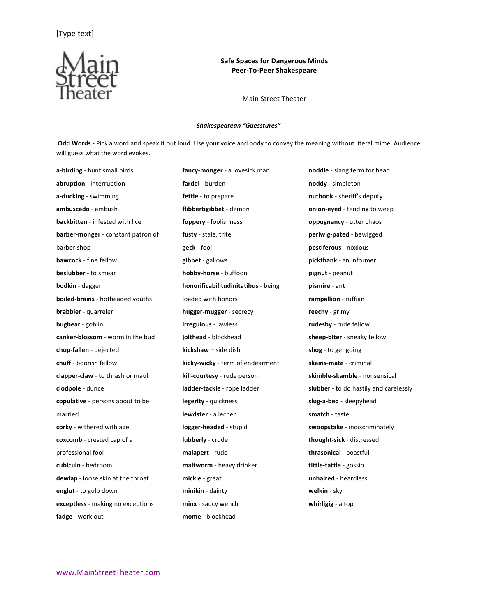

Main Street Theater

#### *Shakespearean "Guesstures"*

Odd Words - Pick a word and speak it out loud. Use your voice and body to convey the meaning without literal mime. Audience will guess what the word evokes.

a-birding - hunt small birds **abruption** - interruption **a-ducking** - swimming **ambuscado** - ambush **backbitten** - infested with lice **barber-monger** - constant patron of barber shop **bawcock** - fine fellow **beslubber** - to smear **bodkin** - dagger **boiled-brains** - hotheaded youths **brabbler** - quarreler **bugbear** - goblin canker-blossom - worm in the bud **chop-fallen** - dejected chuff - boorish fellow **clapper-claw** - to thrash or maul **clodpole** - dunce **copulative** - persons about to be married **corky** - withered with age **coxcomb** - crested cap of a professional fool **cubiculo** - bedroom dewlap - loose skin at the throat **englut** - to gulp down **exceptless** - making no exceptions **fadge** - work out

fancy-monger - a lovesick man **fardel** - burden fettle - to prepare **flibbertigibbet** - demon **foppery** - foolishness fusty - stale, trite **geck** - fool **gibbet** - gallows **hobby-horse** - buffoon **honorificabilitudinitatibus** - being loaded with honors **hugger-mugger** - secrecy **irregulous** - lawless **jolthead** - blockhead **kickshaw** – side dish **kicky-wicky** - term of endearment **kill-courtesy** - rude person ladder-tackle - rope ladder **legerity** - quickness **lewdster** - a lecher **logger-headed** - stupid **lubberly** - crude **malapert** - rude **maltworm** - heavy drinker **mickle** - great **minikin** - dainty **minx** - saucy wench **mome** - blockhead

**noddle** - slang term for head **noddy** - simpleton **nuthook** - sheriff's deputy **onion-eyed** - tending to weep **oppugnancy** - utter chaos **periwig-pated** - bewigged **pestiferous** - noxious **pickthank** - an informer **pignut** - peanut **pismire** - ant **rampallion** - ruffian **reechy** - grimy rudesby - rude fellow sheep-biter - sneaky fellow shog - to get going **skains-mate** - criminal **skimble-skamble** - nonsensical slubber - to do hastily and carelessly **slug-a-bed** - sleepyhead **smatch** - taste **swoopstake** - indiscriminately **thought-sick** - distressed **thrasonical** - boastful **tittle-tattle** - gossip **unhaired** - beardless **welkin** - sky whirligig - a top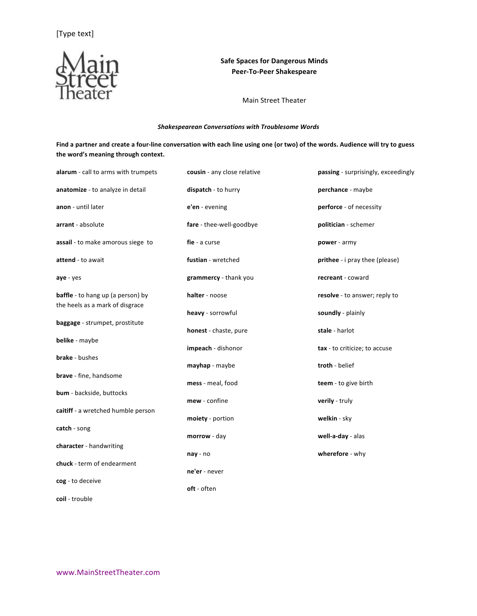

Main Street Theater

## *Shakespearean Conversations with Troublesome Words*

Find a partner and create a four-line conversation with each line using one (or two) of the words. Audience will try to guess the word's meaning through context.

| alarum - call to arms with trumpets      | cousin - any close relative | passing - surprisingly, exceedingly |
|------------------------------------------|-----------------------------|-------------------------------------|
| anatomize - to analyze in detail         | dispatch - to hurry         | perchance - maybe                   |
| anon - until later                       | e'en - evening              | perforce - of necessity             |
| arrant - absolute                        | fare - thee-well-goodbye    | politician - schemer                |
| assail - to make amorous siege to        | fie - a curse               | power - army                        |
| attend - to await                        | fustian - wretched          | prithee - i pray thee (please)      |
| aye - yes                                | grammercy - thank you       | recreant - coward                   |
| <b>baffle</b> - to hang up (a person) by | halter - noose              | resolve - to answer; reply to       |
| the heels as a mark of disgrace          | heavy - sorrowful           | soundly - plainly                   |
| baggage - strumpet, prostitute           | honest - chaste, pure       | stale - harlot                      |
| belike - maybe                           | impeach - dishonor          | tax - to criticize; to accuse       |
| <b>brake</b> - bushes                    | mayhap - maybe              | troth - belief                      |
| <b>brave</b> - fine, handsome            | mess - meal, food           | teem - to give birth                |
| bum - backside, buttocks                 | mew - confine               | verily - truly                      |
| caitiff - a wretched humble person       | moiety - portion            | welkin - sky                        |
| catch - song                             | morrow - day                | well-a-day - alas                   |
| character - handwriting                  | nay - no                    | wherefore - why                     |
| chuck - term of endearment               | ne'er - never               |                                     |
| cog - to deceive                         | oft - often                 |                                     |
|                                          |                             |                                     |

**coil** - trouble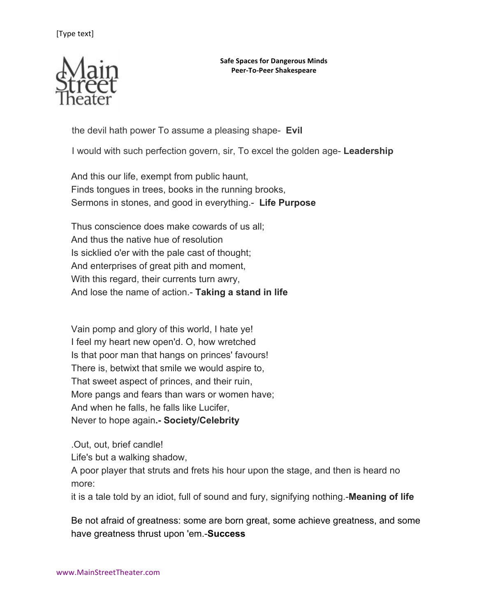

the devil hath power To assume a pleasing shape- **Evil**

I would with such perfection govern, sir, To excel the golden age- **Leadership**

And this our life, exempt from public haunt, Finds tongues in trees, books in the running brooks, Sermons in stones, and good in everything.- **Life Purpose**

Thus conscience does make cowards of us all; And thus the native hue of resolution Is sicklied o'er with the pale cast of thought; And enterprises of great pith and moment, With this regard, their currents turn awry, And lose the name of action.- **Taking a stand in life**

Vain pomp and glory of this world, I hate ye! I feel my heart new open'd. O, how wretched Is that poor man that hangs on princes' favours! There is, betwixt that smile we would aspire to, That sweet aspect of princes, and their ruin, More pangs and fears than wars or women have; And when he falls, he falls like Lucifer, Never to hope again**.- Society/Celebrity**

.Out, out, brief candle!

Life's but a walking shadow,

A poor player that struts and frets his hour upon the stage, and then is heard no more:

it is a tale told by an idiot, full of sound and fury, signifying nothing.-**Meaning of life**

Be not afraid of greatness: some are born great, some achieve greatness, and some have greatness thrust upon 'em.-**Success**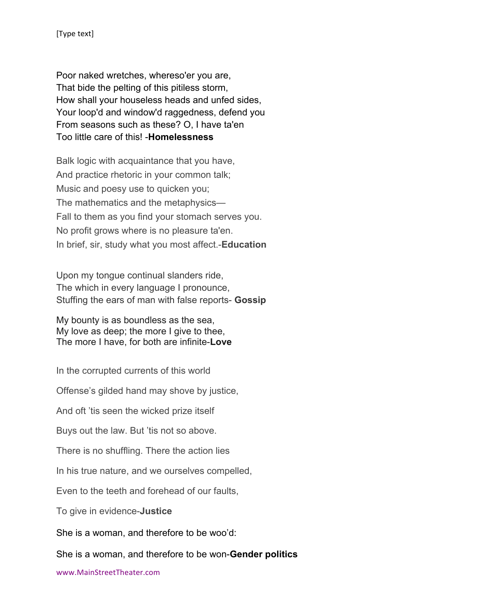Poor naked wretches, whereso'er you are, That bide the pelting of this pitiless storm, How shall your houseless heads and unfed sides, Your loop'd and window'd raggedness, defend you From seasons such as these? O, I have ta'en Too little care of this! -**Homelessness**

Balk logic with acquaintance that you have, And practice rhetoric in your common talk; Music and poesy use to quicken you; The mathematics and the metaphysics— Fall to them as you find your stomach serves you. No profit grows where is no pleasure ta'en. In brief, sir, study what you most affect.-**Education**

Upon my tongue continual slanders ride, The which in every language I pronounce, Stuffing the ears of man with false reports- **Gossip**

My bounty is as boundless as the sea, My love as deep; the more I give to thee, The more I have, for both are infinite-**Love**

In the corrupted currents of this world

Offense's gilded hand may shove by justice,

And oft 'tis seen the wicked prize itself

Buys out the law. But 'tis not so above.

There is no shuffling. There the action lies

In his true nature, and we ourselves compelled,

Even to the teeth and forehead of our faults,

To give in evidence-**Justice**

She is a woman, and therefore to be woo'd:

She is a woman, and therefore to be won-**Gender politics**